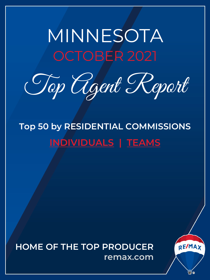# <span id="page-0-0"></span>MINNESOTA OCTOBER 2021

Top Agent Report

**Top 50 by RESIDENTIAL COMMISSIONS INDIVIDUALS | TEAMS**

**HOME OF THE TOP PRODUCER remax.com**

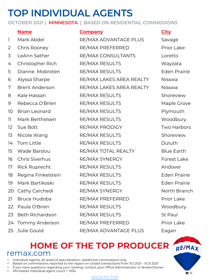## **TOP INDIVIDUAL AGENTS**

**OCTOBER 2021 | MINNESOTA |** *BASED ON RESIDENTIAL COMMISSIONS*

### **Name Company City** 1 Mark Abdel RE/MAX ADVANTAGE PLUS Savage 2 Chris Rooney RE/MAX PREFERRED Prior Lake 3 LeAnn Sather RE/MAX CONSULTANTS Loretto 4 Christopher Rich RE/MAX RESULTS Wayzata 5 Dianne Mobroten RE/MAX RESULTS Eden Prairie 6 Alyssa Sharpe RE/MAX LAKES AREA REALTY Nisswa 7 Brent Anderson RE/MAX LAKES AREA REALTY Nisswa 8 Kale Hassan RE/MAX RESULTS Shoreview 9 Rebecca O'Brien RE/MAX RESULTS Maple Grove 10 Brian Leonard RE/MAX RESULTS Plymouth 11 Mark Berthelsen RE/MAX RESULTS Woodbury 12 Sue Bott **RE/MAX PRODIGY** Two Harbors 13 Nicole Wang RE/MAX RESULTS Shoreview 14 Tom Little RE/MAX RESULTS Duluth 15 Wade Barslou RE/MAX TOTAL REALTY Blue Earth 16 Chris Siverhus RE/MAX SYNERGY Forest Lake 17 Rick Ruprecht RE/MAX RESULTS Andover 18 Regina Finkelstein RE/MAX RESULTS Eden Prairie 19 Mark Bartikoski RE/MAX RESULTS Eden Prairie 20 Cathy Carchedi RE/MAX SYNERGY North Branch 21 Bruce Hudoba RE/MAX PREFERRED Prior Lake 22 Paula O'Brien **RE/MAX RESULTS** Woodbury 23 Beth Richardson RE/MAX RESULTS St Paul 24 Tommy Anderson RE/MAX PREFERRED Prior Lake 25 Julie Gould **RE/MAX ADVANTAGE PLUS** Eagan

### **HOME OF TH[E TOP P](#page-0-0)RODUCER** remax.com

- Individual Agents, all areas of specialization, residential commissions only
- Based on commissions reported to the region on closed transactions from 10.1.2021 10.31.2021
- If you have questions regarding your ranking, contact your Office Administrator or Broker/Owner
- Minnesota Individual agent count = 1034

#### BACK TO TOP

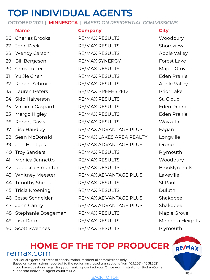## **TOP INDIVIDUAL AGENTS**

**OCTOBER 2021 | MINNESOTA |** *BASED ON RESIDENTIAL COMMISSIONS*

|    | <b>Name</b>            |
|----|------------------------|
| 26 | <b>Charles Brooks</b>  |
| 27 | John Peck              |
| 28 | <b>Wendy Carson</b>    |
| 29 | <b>Bill Bergeson</b>   |
| 30 | <b>Chris Lutter</b>    |
| 31 | Yu Jie Chen            |
| 32 | Robert Schmitz         |
| 33 | Lauren Peters          |
| 34 | Skip Halverson         |
| 35 | Virginia Gaspard       |
| 35 | Margo Higley           |
| 36 | Robert Davis           |
| 37 | Lisa Handley           |
| 38 | Sean McDonald          |
| 39 | Joel Hentges           |
| 40 | <b>Troy Sanders</b>    |
| 41 | Monica Jannetto        |
| 42 | Rebecca Simonton       |
| 43 | <b>Whitney Meester</b> |
| 44 | <b>Timothy Sheetz</b>  |
| 45 | Tricia Kroening        |
| 46 | Jesse Schneider        |
| 47 | John Canny             |
| 48 | Stephanie Boegeman     |
| 49 | Lisa Dorn              |
| 50 | Scott Swennes          |

RE/MAX RESULTS Woodbury RE/MAX RESULTS Shoreview RE/MAX RESULTS Apple Valley RE/MAX SYNERGY Forest Lake RE/MAX RESULTS Maple Grove RE/MAX RESULTS Eden Prairie RE/MAX RESULTS Apple Valley RE/MAX PREFERRED Prior Lake RE/MAX RESULTS St. Cloud RE/MAX RESULTS Eden Prairie RE/MAX RESULTS Eden Prairie RE/MAX RESULTS Wayzata RE/MAX ADVANTAGE PLUS Eagan RE/MAX LAKES AREA REALTY Longville RE/MAX ADVANTAGE PLUS Orono RE/MAX RESULTS Plymouth RE/MAX RESULTS Woodbury RE/MAX RESULTS Brooklyn Park RE/MAX ADVANTAGE PLUS Lakeville RE/MAX RESULTS St Paul RE/MAX RESULTS Duluth RE/MAX ADVANTAGE PLUS Shakopee RE/MAX ADVANTAGE PLUS Shakopee RE/MAX RESULTS Maple Grove RE/MAX RESULTS Mendota Heights Scott Swennes RE/MAX RESULTS Plymouth

### **Name Company City**

### **HOME OF TH[E TOP P](#page-0-0)RODUCER** remax.com

- Individual Agents, all areas of specialization, residential commissions only
- Based on commissions reported to the region on closed transactions from 10.1.2021 10.31.2021
- If you have questions regarding your ranking, contact your Office Administrator or Broker/Owner
- Minnesota Individual agent count = 1034

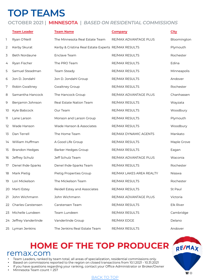### **TOP TEAMS**

### **OCTOBER 2021 | MINNESOTA |** *BASED ON RESIDENTIAL COMMISSIONS*

|    | <b>Team Leader</b>    | <b>Team Name</b>                                    | <b>Company</b>           | <b>City</b>      |
|----|-----------------------|-----------------------------------------------------|--------------------------|------------------|
| 1  | Ryan O'Neill          | The Minnesota Real Estate Team                      | RE/MAX ADVANTAGE PLUS    | Bloomington      |
| 2  | Kerby Skurat          | Kerby & Cristina Real Estate Experts RE/MAX RESULTS |                          | Plymouth         |
| 3  | Beth Nordaune         | Enclave Team                                        | <b>RE/MAX RESULTS</b>    | Rochester        |
| 4  | Ryan Fischer          | The PRO Team                                        | <b>RE/MAX RESULTS</b>    | Edina            |
| 5  | Samuel Steadman       | Team Steady                                         | RE/MAX RESULTS           | Minneapolis      |
| 6  | Jon D. Jondahl        | Jon D. Jondahl Group                                | RE/MAX RESULTS           | Andover          |
| 7  | Robin Gwaltney        | <b>Gwaltney Group</b>                               | RE/MAX RESULTS           | Rochester        |
| 8  | Samantha Hancock      | The Hancock Group                                   | RE/MAX ADVANTAGE PLUS    | Chanhassen       |
| 9  | Benjamin Johnson      | Real Estate Nation Team                             | RE/MAX RESULTS           | Wayzata          |
| 10 | Kyle Babcock          | Our Team                                            | RE/MAX RESULTS           | Woodbury         |
| 11 | Lane Larson           | Monson and Larson Group                             | RE/MAX RESULTS           | Plymouth         |
| 12 | Wade Hanson           | Wade Hanson & Associates                            | RE/MAX RESULTS           | Woodbury         |
| 13 | Dan Terrell           | The Home Team                                       | RE/MAX DYNAMIC AGENTS    | Mankato          |
| 14 | William Huffman       | A Good Life Group                                   | RE/MAX RESULTS           | Maple Grove      |
| 15 | <b>Brandon Hedges</b> | <b>Barker Hedges Group</b>                          | RE/MAX RESULTS           | Eagan            |
| 16 | Jeffrey Schulz        | Jeff Schulz Team                                    | RE/MAX ADVANTAGE PLUS    | Waconia          |
| 17 | Denel Ihde-Sparks     | Denel Ihde-Sparks Team                              | RE/MAX RESULTS           | Rochester        |
| 18 | Mark Pietig           | Pietig Properties Group                             | RE/MAX LAKES AREA REALTY | Nisswa           |
| 19 | Lori Mickelson        | The Mickelson Team                                  | RE/MAX RESULTS           | Rochester        |
| 20 | Marti Estey           | Reidell Estey and Associates                        | RE/MAX RESULTS           | St Paul          |
| 21 | John Wichmann         | John Wichmann                                       | RE/MAX ADVANTAGE PLUS    | Victoria         |
| 22 | Charles Carstensen    | Carstensen Team                                     | RE/MAX RESULTS           | <b>Elk River</b> |
| 23 | Michelle Lundeen      | Team Lundeen                                        | <b>RE/MAX RESULTS</b>    | Cambridge        |
| 24 | Jeffrey Vanderlinde   | Vanderlinde Group                                   | RE/MAX EDGE              | Delano           |
| 25 | Lyman Jenkins         | The Jenkins Real Estate Team                        | <b>RE/MAX RESULTS</b>    | Andover          |

### **HOME OF TH[E TOP P](#page-0-0)RODUCER REMAX** remax.com

- Team Leaders, ranked by team total, all areas of specialization, residential commissions only.
- Based on commissions reported to the region on closed transactions from 10.1.2021 10.31.2021
- If you have questions regarding your ranking, contact your Office Administrator or Broker/Owner
- Minnesota Team count = 257

#### BACK TO TOP